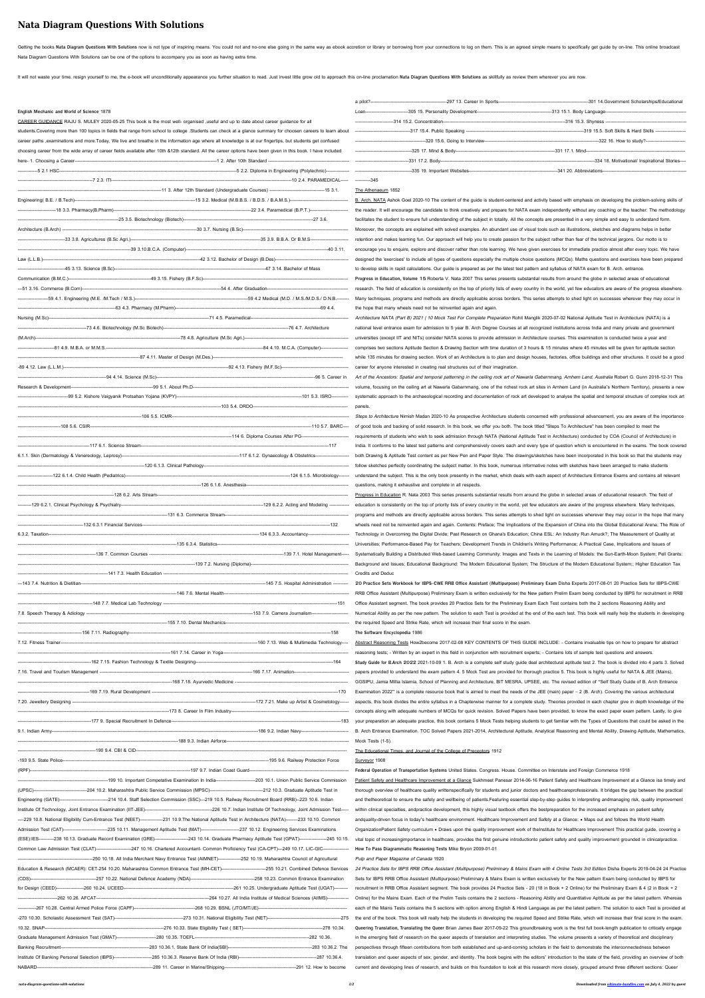# **Nata Diagram Questions With Solutions**

Getting the books Nata Diagram Questions With Solutions now is not type of inspiring means. You could not and no-one else going in the same way as ebook accretion or library or borrowing from your connections to log on the Nata Diagram Questions With Solutions can be one of the options to accompany you as soon as having extra time.

It will not waste your time. resign yourself to me, the e-book will unconditionally appearance you further situation to read. Just invest little grow old to approach this on-line proclamation Nata Diagram Questions With So

| English Mechanic and World of Science 1878 |                                                                                                                                                                 |
|--------------------------------------------|-----------------------------------------------------------------------------------------------------------------------------------------------------------------|
|                                            | CAREER GUIDANCE RAJU S. MULEY 2020-05-25 This book is the most well- organised ,useful and up to date about career guidance for all                             |
|                                            | students. Covering more than 100 topics in fields that range from school to college . Students can check at a glance summary for choosen careers to learn about |
|                                            | career paths , examinations and more. Today, We live and breathe in the information age where all knowledge is at our fingertips, but students get confused     |
|                                            | choosing career from the wide array of career fields available after 10th &12th standard. All the career options have been given in this book. I have included  |
|                                            |                                                                                                                                                                 |
|                                            |                                                                                                                                                                 |
|                                            |                                                                                                                                                                 |
|                                            |                                                                                                                                                                 |
|                                            |                                                                                                                                                                 |
|                                            |                                                                                                                                                                 |
|                                            |                                                                                                                                                                 |
|                                            |                                                                                                                                                                 |
|                                            |                                                                                                                                                                 |
|                                            |                                                                                                                                                                 |
|                                            |                                                                                                                                                                 |
|                                            |                                                                                                                                                                 |
|                                            |                                                                                                                                                                 |
|                                            |                                                                                                                                                                 |
|                                            |                                                                                                                                                                 |
|                                            |                                                                                                                                                                 |
|                                            |                                                                                                                                                                 |
|                                            |                                                                                                                                                                 |
|                                            |                                                                                                                                                                 |
|                                            |                                                                                                                                                                 |
|                                            |                                                                                                                                                                 |
|                                            |                                                                                                                                                                 |
|                                            |                                                                                                                                                                 |
|                                            |                                                                                                                                                                 |
|                                            |                                                                                                                                                                 |
|                                            |                                                                                                                                                                 |
|                                            |                                                                                                                                                                 |
|                                            |                                                                                                                                                                 |
|                                            |                                                                                                                                                                 |
|                                            |                                                                                                                                                                 |
|                                            |                                                                                                                                                                 |
|                                            |                                                                                                                                                                 |
|                                            |                                                                                                                                                                 |
|                                            |                                                                                                                                                                 |
|                                            |                                                                                                                                                                 |
|                                            |                                                                                                                                                                 |
|                                            |                                                                                                                                                                 |
|                                            |                                                                                                                                                                 |
|                                            |                                                                                                                                                                 |
|                                            |                                                                                                                                                                 |
|                                            |                                                                                                                                                                 |
|                                            |                                                                                                                                                                 |
|                                            |                                                                                                                                                                 |
|                                            |                                                                                                                                                                 |
|                                            |                                                                                                                                                                 |
|                                            |                                                                                                                                                                 |
|                                            |                                                                                                                                                                 |
|                                            |                                                                                                                                                                 |
|                                            |                                                                                                                                                                 |
|                                            |                                                                                                                                                                 |
|                                            |                                                                                                                                                                 |
|                                            |                                                                                                                                                                 |
|                                            |                                                                                                                                                                 |
|                                            |                                                                                                                                                                 |
|                                            |                                                                                                                                                                 |
|                                            |                                                                                                                                                                 |
|                                            |                                                                                                                                                                 |
|                                            |                                                                                                                                                                 |
|                                            |                                                                                                                                                                 |
|                                            |                                                                                                                                                                 |
|                                            |                                                                                                                                                                 |
|                                            |                                                                                                                                                                 |
|                                            |                                                                                                                                                                 |
|                                            |                                                                                                                                                                 |
|                                            |                                                                                                                                                                 |

Architecture NATA (Part B) 2021 | 10 Mock Test For Complete Preparation Rohit Manglik 2020-07-02 National Aptitude Test in Architecture (NATA) is a national level entrance exam for admission to 5 year B. Arch Degree Courses at all recognized institutions across India and many private and government universities (except IIT and NITs) consider NATA scores to provide admission in Architecture courses. This examination is conducted twice a year and comprises two sections Aptitude Section & Drawing Section with time duration of 3 hours & 15 minutes where 45 minutes will be given for aptitude section while 135 minutes for drawing section. Work of an Architecture is to plan and design houses, factories, office buildings and other structures. It could be a good career for anyone interested in creating real structures out of their imagination.

Art of the Ancestors: Spatial and temporal patterning in the ceiling rock art of Nawarla Gabarnmang, Arnhem Land, Australia Robert G. Gunn 2018-12-31 This

Steps to Architecture Nimish Madan 2020-10 As prospective Architecture students concerned with professional advancement, you are aware of the importance of good tools and backing of solid research. In this book, we offer you both. The book titled "Steps To Architecture" has been compiled to meet the requirements of students who wish to seek admission through NATA (National Aptitude Test in Architecture) conducted by COA (Council of Architecture) in India. It conforms to the latest test patterns and comprehensively covers each and every type of question which is encountered in the exams. The book covered both Drawing & Aptitude Test content as per New Pen and Paper Style. The drawings/sketches have been incorporated in this book so that the students may follow sketches perfectly coordinating the subject matter. In this book, numerous informative notes with sketches have been arranged to make students understand the subject. This is the only book presently in the market, which deals with each aspect of Architecture Entrance Exams and contains all relevant questions, making it exhaustive and complete in all respects.

|  |  | Engineering (GATE)--------------------------------214 10.4. Staff Selection Commission (SSC)---219 10.5. Railway Recruitment Board (RRB)--223 10.6. Indian          |  |
|--|--|---------------------------------------------------------------------------------------------------------------------------------------------------------------------|--|
|  |  |                                                                                                                                                                     |  |
|  |  | ----229 10.8. National Eligibility Cum-Entrance Test (NEET)---------------231 10.9. The National Aptitude Test in Architecture (NATA)--------233 10.10. Common      |  |
|  |  | Admission Test (CAT)---------------------------235 10.11. Management Aptitude Test (MAT)-------------------------237 10.12. Engineering Services Examinations       |  |
|  |  | (ESE):IES----------238 10.13. Graduate Record Examination (GRE)----------------------243 10.14. Graduate Pharmacy Aptitude Test (GPAT)-------------------245 10.15. |  |
|  |  | Common Law Admission Test (CLAT)----------------------247 10.16. Chartered Accountant- Common Proficiency Test (CA-CPT)---249 10.17. LIC-GIC----------------        |  |
|  |  |                                                                                                                                                                     |  |
|  |  |                                                                                                                                                                     |  |
|  |  |                                                                                                                                                                     |  |
|  |  |                                                                                                                                                                     |  |
|  |  |                                                                                                                                                                     |  |
|  |  |                                                                                                                                                                     |  |
|  |  |                                                                                                                                                                     |  |
|  |  |                                                                                                                                                                     |  |
|  |  |                                                                                                                                                                     |  |
|  |  |                                                                                                                                                                     |  |
|  |  |                                                                                                                                                                     |  |
|  |  |                                                                                                                                                                     |  |

----------345

## The Athenaeum 1852

B. Arch. NATA Ashok Goel 2020-10 The content of the guide is student-centered and activity based with emphasis on developing the problem-solving skills of the reader. It will encourage the candidate to think creatively and prepare for NATA exam independently without any coaching or the teacher. The methodology facilitates the student to ensure full understanding of the subject in totality. All the concepts are presented in a very simple and easy to understand form. Moreover, the concepts are explained with solved examples. An abundant use of visual tools such as illustrations, sketches and diagrams helps in better retention and makes learning fun. Our approach will help you to create passion for the subject rather than fear of the technical jargons. Our motto is to encourage you to enquire, explore and discover rather than rote learning. We have given exercises for immediate practice almost after every topic. We have designed the 'exercises' to include all types of questions especially the multiple choice questions (MCQs). Maths questions and exercises have been prepared to develop skills in rapid calculations. Our guide is prepared as per the latest test pattern and syllabus of NATA exam for B. Arch. entrance. **Progress in Education, Volume 15** Roberta V. Nata 2007 This series presents substantial results from around the globe in selected areas of educational research. The field of education is consistently on the top of priority lists of every country in the world, yet few educators are aware of the progress elsewhere. Many techniques, programs and methods are directly applicable across borders. This series attempts to shed light on successes wherever they may occur in the hope that many wheels need not be reinvented again and again.

volume, focusing on the ceiling art at Nawarla Gabarnmang, one of the richest rock art sites in Arnhem Land (in Australia's Northern Territory), presents a new systematic approach to the archaeological recording and documentation of rock art developed to analyse the spatial and temporal structure of complex rock art panels.

Progress in Education R. Nata 2003 This series presents substantial results from around the globe in selected areas of educational research. The field of - education is consistently on the top of priority lists of every country in the world, yet few educators are aware of the progress elsewhere. Many techniques, programs and methods are directly applicable across borders. This series attempts to shed light on successes wherever they may occur in the hope that many wheels need not be reinvented again and again. Contents: Preface; The Implications of the Expansion of China into the Global Educational Arena; The Role of Technology in Overcoming the Digital Divide; Past Research on Ghana's Education; China ESL: An Industry Run Amuck?; The Measurement of Quality at Universities; Performance-Based Pay for Teachers; Development Trends in Children's Writing Performance; A Practical Case, Implications and Issues of Systematically Building a Distributed Web-based Learning Community; Images and Texts in the Learning of Models: the Sun-Earth-Moon System; Pell Grants: Background and Issues; Educational Background: The Modern Educational System; The Structure of the Modern Educational System;; Higher Education Tax Credits and Deduc

**20 Practice Sets Workbook for IBPS-CWE RRB Office Assistant (Multipurpose) Preliminary Exam** Disha Experts 2017-08-01 20 Practice Sets for IBPS-CWE RRB Office Assistant (Multipurpose) Preliminary Exam is written exclusively for the New pattern Prelim Exam being conducted by IBPS for recruitment in RRB Office Assistant segment. The book provides 20 Practice Sets for the Preliminary Exam Each Test contains both the 2 sections Reasoning Ability and Numerical Ability as per the new pattern. The solution to each Test is provided at the end of the each test. This book will really help the students in developing the required Speed and Strike Rate, which will increase their final score in the exam.

#### **The Software Encyclopedia** 1986

Abstract Reasoning Tests How2become 2017-02-08 KEY CONTENTS OF THIS GUIDE INCLUDE: - Contains invaluable tips on how to prepare for abstract reasoning tests; - Written by an expert in this field in conjunction with recruitment experts; - Contains lots of sample test questions and answers. **Study Guide for B.Arch 2022** 2021-10-09 1. B. Arch is a complete self study guide deal architectural aptitude test 2. The book is divided into 4 parts 3. Solved papers provided to understand the exam pattern 4. 5 Mock Test are provided for thorough practice 5. This book is highly useful for NATA & JEE (Mains), GGSIPU, Jamia Millia Islamia, School of Planning and Architecture, BIT MESRA, UPSEE, etc. The revised edition of "Self Study Guide of B. Arch Entrance Examination 2022" is a complete resource book that is aimed to meet the needs of the JEE (main) paper – 2 (B. Arch). Covering the various architectural aspects, this book divides the entire syllabus in a Chapterwise manner for a complete study. Theories provided in each chapter give in depth knowledge of the concepts along with adequate numbers of MCQs for quick revision. Solved Papers have been provided, to know the exact paper exam pattern. Lastly, to give your preparation an adequate practice, this book contains 5 Mock Tests helping students to get familiar with the Types of Questions that could be asked in the B. Arch Entrance Examination. TOC Solved Papers 2021-2014, Architectural Aptitude, Analytical Reasoning and Mental Ability, Drawing Aptitude, Mathematics, Mock Tests (1-5).

The Educational Times, and Journal of the College of Preceptors 1912

Surveyor 1908

**Federal Operation of Transportation Systems** United States. Congress. House. Committee on Interstate and Foreign Commerce 1918 Patient Safety and Healthcare Improvement at a Glance Sukhmeet Panesar 2014-06-16 Patient Safety and Healthcare Improvement at a Glance isa timely and thorough overview of healthcare quality writtenspecifically for students and junior doctors and healthcareprofessionals. It bridges the gap between the practical and thetheoretical to ensure the safety and wellbeing of patients.Featuring essential step-by-step guides to interpreting andmanaging risk, quality improvement within clinical specialties, andpractice development, this highly visual textbook offers the bestpreparation for the increased emphasis on patient safety andquality-driven focus in today's healthcare environment. Healthcare Improvement and Safety at a Glance: • Maps out and follows the World Health OrganizationPatient Safety curriculum • Draws upon the quality improvement work of theInstitute for Healthcare Improvement This practical guide, covering a vital topic of increasingimportance in healthcare, provides the first genuine introductionto patient safety and quality improvement grounded in clinicalpractice. **How To Pass Diagrammatic Reasoning Tests** Mike Bryon 2009-01-01

### Pulp and Paper Magazine of Canada 1920

24 Practice Sets for IBPS RRB Office Assistant (Multipurpose) Preliminary & Mains Exam with 4 Online Tests 3rd Edition Disha Experts 2019-04-24 24 Practice Sets for IBPS RRB Office Assistant (Multipurpose) Preliminary & Mains Exam is written exclusively for the New pattern Exam being conducted by IBPS for recruitment in RRB Office Assistant segment. The book provides 24 Practice Sets - 20 (18 in Book + 2 Online) for the Preliminary Exam & 4 (2 in Book + 2 Online) for the Mains Exam. Each of the Prelim Tests contains the 2 sections - Reasoning Ability and Quantitative Aptitude as per the latest pattern. Whereas each of the Mains Tests contains the 5 sections with option among English & Hindi Language as per the latest pattern. The solution to each Test is provided at the end of the book. This book will really help the students in developing the required Speed and Strike Rate, which will increase their final score in the exam. **Queering Translation, Translating the Queer** Brian James Baer 2017-09-22 This groundbreaking work is the first full book-length publication to critically engage in the emerging field of research on the queer aspects of translation and interpreting studies. The volume presents a variety of theoretical and disciplinary perspectives through fifteen contributions from both established and up-and-coming scholars in the field to demonstrate the interconnectedness between translation and queer aspects of sex, gender, and identity. The book begins with the editors' introduction to the state of the field, providing an overview of both current and developing lines of research, and builds on this foundation to look at this research more closely, grouped around three different sections: Queer